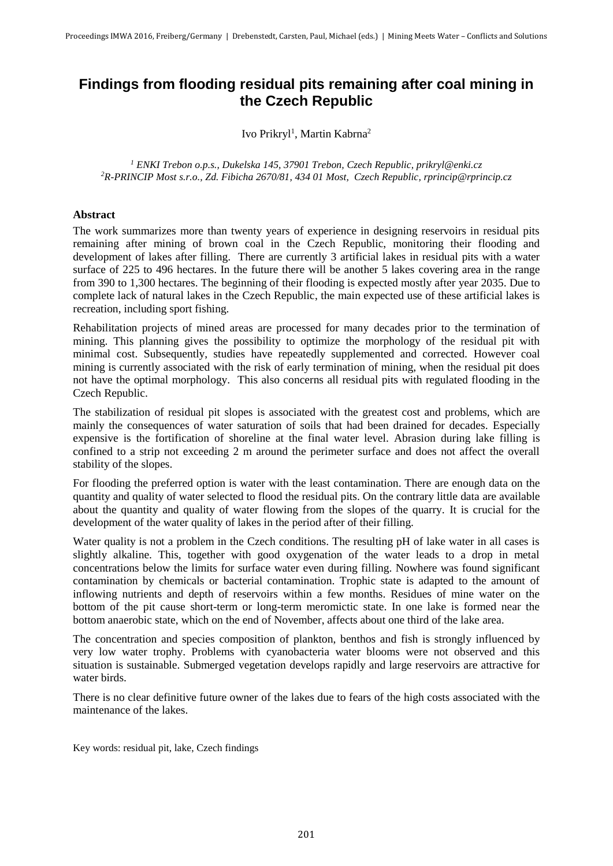# **Findings from flooding residual pits remaining after coal mining in the Czech Republic**

Ivo Prikryl<sup>1</sup>, Martin Kabrna<sup>2</sup>

*<sup>1</sup> ENKI Trebon o.p.s., Dukelska 145, 37901 Trebon, Czech Republic, prikryl@enki.cz <sup>2</sup>R-PRINCIP Most s.r.o., Zd. Fibicha 2670/81, 434 01 Most, Czech Republic, rprincip@rprincip.cz*

## **Abstract**

The work summarizes more than twenty years of experience in designing reservoirs in residual pits remaining after mining of brown coal in the Czech Republic, monitoring their flooding and development of lakes after filling. There are currently 3 artificial lakes in residual pits with a water surface of 225 to 496 hectares. In the future there will be another 5 lakes covering area in the range from 390 to 1,300 hectares. The beginning of their flooding is expected mostly after year 2035. Due to complete lack of natural lakes in the Czech Republic, the main expected use of these artificial lakes is recreation, including sport fishing.

Rehabilitation projects of mined areas are processed for many decades prior to the termination of mining. This planning gives the possibility to optimize the morphology of the residual pit with minimal cost. Subsequently, studies have repeatedly supplemented and corrected. However coal mining is currently associated with the risk of early termination of mining, when the residual pit does not have the optimal morphology. This also concerns all residual pits with regulated flooding in the Czech Republic.

The stabilization of residual pit slopes is associated with the greatest cost and problems, which are mainly the consequences of water saturation of soils that had been drained for decades. Especially expensive is the fortification of shoreline at the final water level. Abrasion during lake filling is confined to a strip not exceeding 2 m around the perimeter surface and does not affect the overall stability of the slopes.

For flooding the preferred option is water with the least contamination. There are enough data on the quantity and quality of water selected to flood the residual pits. On the contrary little data are available about the quantity and quality of water flowing from the slopes of the quarry. It is crucial for the development of the water quality of lakes in the period after of their filling.

Water quality is not a problem in the Czech conditions. The resulting pH of lake water in all cases is slightly alkaline. This, together with good oxygenation of the water leads to a drop in metal concentrations below the limits for surface water even during filling. Nowhere was found significant contamination by chemicals or bacterial contamination. Trophic state is adapted to the amount of inflowing nutrients and depth of reservoirs within a few months. Residues of mine water on the bottom of the pit cause short-term or long-term meromictic state. In one lake is formed near the bottom anaerobic state, which on the end of November, affects about one third of the lake area.

The concentration and species composition of plankton, benthos and fish is strongly influenced by very low water trophy. Problems with cyanobacteria water blooms were not observed and this situation is sustainable. Submerged vegetation develops rapidly and large reservoirs are attractive for water birds.

There is no clear definitive future owner of the lakes due to fears of the high costs associated with the maintenance of the lakes.

Key words: residual pit, lake, Czech findings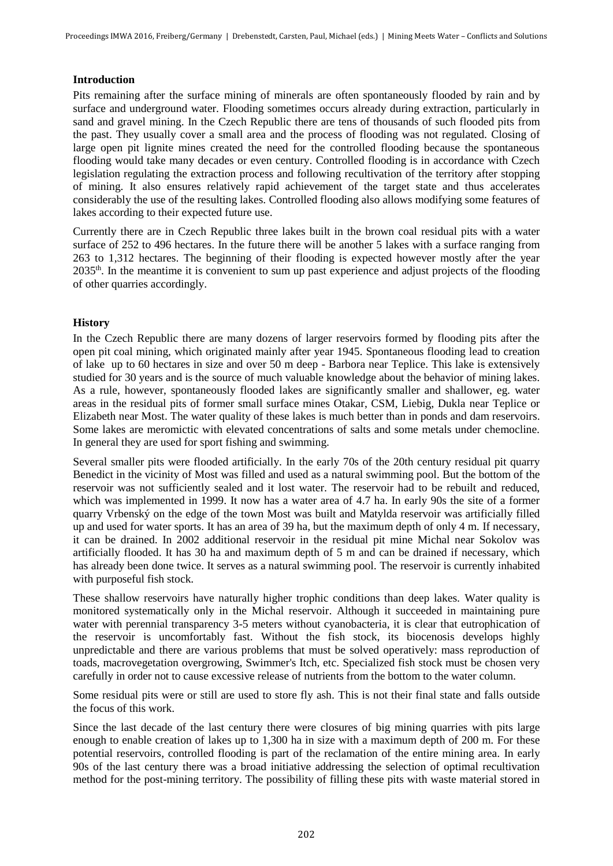## **Introduction**

Pits remaining after the surface mining of minerals are often spontaneously flooded by rain and by surface and underground water. Flooding sometimes occurs already during extraction, particularly in sand and gravel mining. In the Czech Republic there are tens of thousands of such flooded pits from the past. They usually cover a small area and the process of flooding was not regulated. Closing of large open pit lignite mines created the need for the controlled flooding because the spontaneous flooding would take many decades or even century. Controlled flooding is in accordance with Czech legislation regulating the extraction process and following recultivation of the territory after stopping of mining. It also ensures relatively rapid achievement of the target state and thus accelerates considerably the use of the resulting lakes. Controlled flooding also allows modifying some features of lakes according to their expected future use.

Currently there are in Czech Republic three lakes built in the brown coal residual pits with a water surface of 252 to 496 hectares. In the future there will be another 5 lakes with a surface ranging from 263 to 1,312 hectares. The beginning of their flooding is expected however mostly after the year 2035th. In the meantime it is convenient to sum up past experience and adjust projects of the flooding of other quarries accordingly.

## **History**

In the Czech Republic there are many dozens of larger reservoirs formed by flooding pits after the open pit coal mining, which originated mainly after year 1945. Spontaneous flooding lead to creation of lake up to 60 hectares in size and over 50 m deep - Barbora near Teplice. This lake is extensively studied for 30 years and is the source of much valuable knowledge about the behavior of mining lakes. As a rule, however, spontaneously flooded lakes are significantly smaller and shallower, eg. water areas in the residual pits of former small surface mines Otakar, CSM, Liebig, Dukla near Teplice or Elizabeth near Most. The water quality of these lakes is much better than in ponds and dam reservoirs. Some lakes are meromictic with elevated concentrations of salts and some metals under chemocline. In general they are used for sport fishing and swimming.

Several smaller pits were flooded artificially. In the early 70s of the 20th century residual pit quarry Benedict in the vicinity of Most was filled and used as a natural swimming pool. But the bottom of the reservoir was not sufficiently sealed and it lost water. The reservoir had to be rebuilt and reduced, which was implemented in 1999. It now has a water area of 4.7 ha. In early 90s the site of a former quarry Vrbenský on the edge of the town Most was built and Matylda reservoir was artificially filled up and used for water sports. It has an area of 39 ha, but the maximum depth of only 4 m. If necessary, it can be drained. In 2002 additional reservoir in the residual pit mine Michal near Sokolov was artificially flooded. It has 30 ha and maximum depth of 5 m and can be drained if necessary, which has already been done twice. It serves as a natural swimming pool. The reservoir is currently inhabited with purposeful fish stock.

These shallow reservoirs have naturally higher trophic conditions than deep lakes. Water quality is monitored systematically only in the Michal reservoir. Although it succeeded in maintaining pure water with perennial transparency 3-5 meters without cyanobacteria, it is clear that eutrophication of the reservoir is uncomfortably fast. Without the fish stock, its biocenosis develops highly unpredictable and there are various problems that must be solved operatively: mass reproduction of toads, macrovegetation overgrowing, Swimmer's Itch, etc. Specialized fish stock must be chosen very carefully in order not to cause excessive release of nutrients from the bottom to the water column.

Some residual pits were or still are used to store fly ash. This is not their final state and falls outside the focus of this work.

Since the last decade of the last century there were closures of big mining quarries with pits large enough to enable creation of lakes up to 1,300 ha in size with a maximum depth of 200 m. For these potential reservoirs, controlled flooding is part of the reclamation of the entire mining area. In early 90s of the last century there was a broad initiative addressing the selection of optimal recultivation method for the post-mining territory. The possibility of filling these pits with waste material stored in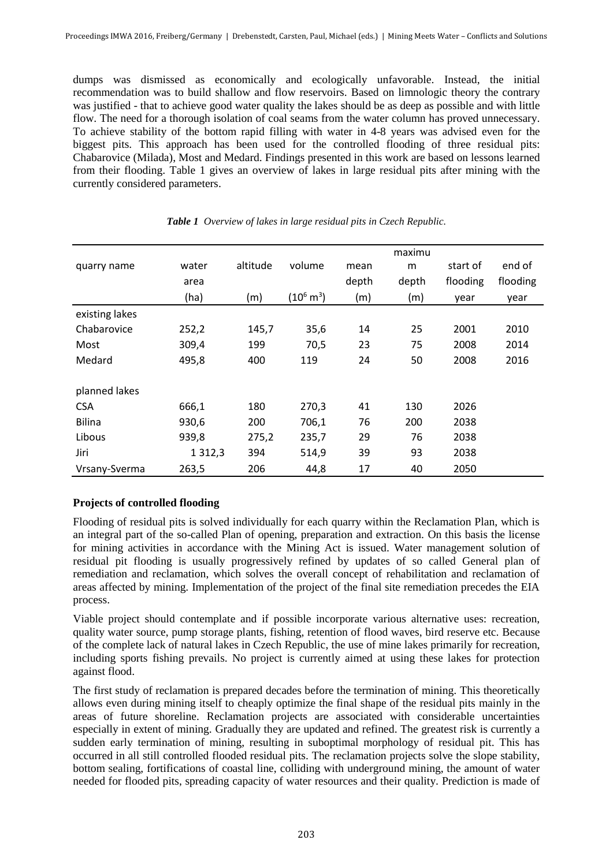dumps was dismissed as economically and ecologically unfavorable. Instead, the initial recommendation was to build shallow and flow reservoirs. Based on limnologic theory the contrary was justified - that to achieve good water quality the lakes should be as deep as possible and with little flow. The need for a thorough isolation of coal seams from the water column has proved unnecessary. To achieve stability of the bottom rapid filling with water in 4-8 years was advised even for the biggest pits. This approach has been used for the controlled flooding of three residual pits: Chabarovice (Milada), Most and Medard. Findings presented in this work are based on lessons learned from their flooding. Table 1 gives an overview of lakes in large residual pits after mining with the currently considered parameters.

|                |             |          |                      |       | maximu |          |          |
|----------------|-------------|----------|----------------------|-------|--------|----------|----------|
| quarry name    | water       | altitude | volume               | mean  | m      | start of | end of   |
|                | area        |          |                      | depth | depth  | flooding | flooding |
|                | (ha)        | (m)      | $(10^6 \text{ m}^3)$ | (m)   | (m)    | year     | year     |
| existing lakes |             |          |                      |       |        |          |          |
| Chabarovice    | 252,2       | 145,7    | 35,6                 | 14    | 25     | 2001     | 2010     |
| Most           | 309,4       | 199      | 70,5                 | 23    | 75     | 2008     | 2014     |
| Medard         | 495,8       | 400      | 119                  | 24    | 50     | 2008     | 2016     |
|                |             |          |                      |       |        |          |          |
| planned lakes  |             |          |                      |       |        |          |          |
| <b>CSA</b>     | 666,1       | 180      | 270,3                | 41    | 130    | 2026     |          |
| <b>Bilina</b>  | 930,6       | 200      | 706,1                | 76    | 200    | 2038     |          |
| Libous         | 939,8       | 275,2    | 235,7                | 29    | 76     | 2038     |          |
| Jiri           | 1 3 1 2 , 3 | 394      | 514,9                | 39    | 93     | 2038     |          |
| Vrsany-Sverma  | 263,5       | 206      | 44,8                 | 17    | 40     | 2050     |          |

#### *Table 1 Overview of lakes in large residual pits in Czech Republic.*

## **Projects of controlled flooding**

Flooding of residual pits is solved individually for each quarry within the Reclamation Plan, which is an integral part of the so-called Plan of opening, preparation and extraction. On this basis the license for mining activities in accordance with the Mining Act is issued. Water management solution of residual pit flooding is usually progressively refined by updates of so called General plan of remediation and reclamation, which solves the overall concept of rehabilitation and reclamation of areas affected by mining. Implementation of the project of the final site remediation precedes the EIA process.

Viable project should contemplate and if possible incorporate various alternative uses: recreation, quality water source, pump storage plants, fishing, retention of flood waves, bird reserve etc. Because of the complete lack of natural lakes in Czech Republic, the use of mine lakes primarily for recreation, including sports fishing prevails. No project is currently aimed at using these lakes for protection against flood.

The first study of reclamation is prepared decades before the termination of mining. This theoretically allows even during mining itself to cheaply optimize the final shape of the residual pits mainly in the areas of future shoreline. Reclamation projects are associated with considerable uncertainties especially in extent of mining. Gradually they are updated and refined. The greatest risk is currently a sudden early termination of mining, resulting in suboptimal morphology of residual pit. This has occurred in all still controlled flooded residual pits. The reclamation projects solve the slope stability, bottom sealing, fortifications of coastal line, colliding with underground mining, the amount of water needed for flooded pits, spreading capacity of water resources and their quality. Prediction is made of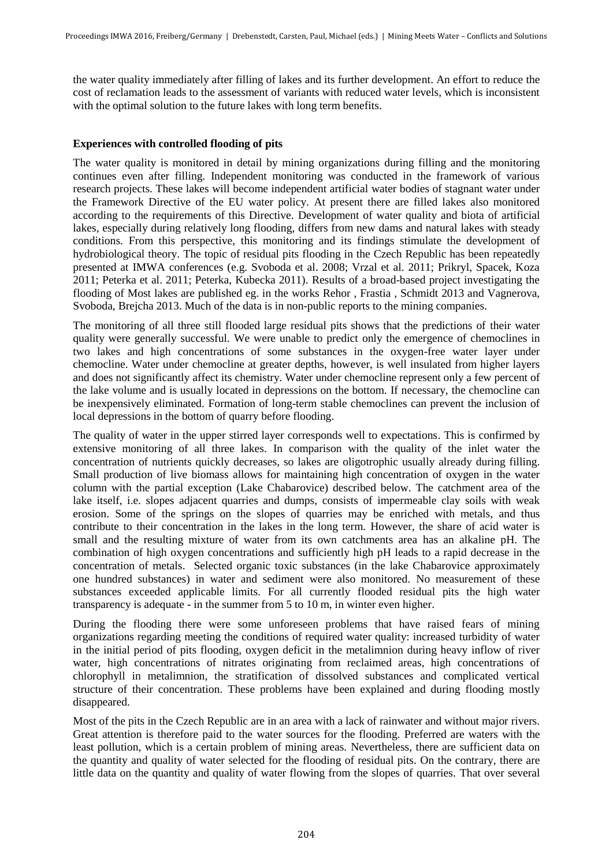the water quality immediately after filling of lakes and its further development. An effort to reduce the cost of reclamation leads to the assessment of variants with reduced water levels, which is inconsistent with the optimal solution to the future lakes with long term benefits.

### **Experiences with controlled flooding of pits**

The water quality is monitored in detail by mining organizations during filling and the monitoring continues even after filling. Independent monitoring was conducted in the framework of various research projects. These lakes will become independent artificial water bodies of stagnant water under the Framework Directive of the EU water policy. At present there are filled lakes also monitored according to the requirements of this Directive. Development of water quality and biota of artificial lakes, especially during relatively long flooding, differs from new dams and natural lakes with steady conditions. From this perspective, this monitoring and its findings stimulate the development of hydrobiological theory. The topic of residual pits flooding in the Czech Republic has been repeatedly presented at IMWA conferences (e.g. Svoboda et al. 2008; Vrzal et al. 2011; Prikryl, Spacek, Koza 2011; Peterka et al. 2011; Peterka, Kubecka 2011). Results of a broad-based project investigating the flooding of Most lakes are published eg. in the works Rehor , Frastia , Schmidt 2013 and Vagnerova, Svoboda, Brejcha 2013. Much of the data is in non-public reports to the mining companies.

The monitoring of all three still flooded large residual pits shows that the predictions of their water quality were generally successful. We were unable to predict only the emergence of chemoclines in two lakes and high concentrations of some substances in the oxygen-free water layer under chemocline. Water under chemocline at greater depths, however, is well insulated from higher layers and does not significantly affect its chemistry. Water under chemocline represent only a few percent of the lake volume and is usually located in depressions on the bottom. If necessary, the chemocline can be inexpensively eliminated. Formation of long-term stable chemoclines can prevent the inclusion of local depressions in the bottom of quarry before flooding.

The quality of water in the upper stirred layer corresponds well to expectations. This is confirmed by extensive monitoring of all three lakes. In comparison with the quality of the inlet water the concentration of nutrients quickly decreases, so lakes are oligotrophic usually already during filling. Small production of live biomass allows for maintaining high concentration of oxygen in the water column with the partial exception (Lake Chabarovice) described below. The catchment area of the lake itself, i.e. slopes adjacent quarries and dumps, consists of impermeable clay soils with weak erosion. Some of the springs on the slopes of quarries may be enriched with metals, and thus contribute to their concentration in the lakes in the long term. However, the share of acid water is small and the resulting mixture of water from its own catchments area has an alkaline pH. The combination of high oxygen concentrations and sufficiently high pH leads to a rapid decrease in the concentration of metals. Selected organic toxic substances (in the lake Chabarovice approximately one hundred substances) in water and sediment were also monitored. No measurement of these substances exceeded applicable limits. For all currently flooded residual pits the high water transparency is adequate - in the summer from 5 to 10 m, in winter even higher.

During the flooding there were some unforeseen problems that have raised fears of mining organizations regarding meeting the conditions of required water quality: increased turbidity of water in the initial period of pits flooding, oxygen deficit in the metalimnion during heavy inflow of river water, high concentrations of nitrates originating from reclaimed areas, high concentrations of chlorophyll in metalimnion, the stratification of dissolved substances and complicated vertical structure of their concentration. These problems have been explained and during flooding mostly disappeared.

Most of the pits in the Czech Republic are in an area with a lack of rainwater and without major rivers. Great attention is therefore paid to the water sources for the flooding. Preferred are waters with the least pollution, which is a certain problem of mining areas. Nevertheless, there are sufficient data on the quantity and quality of water selected for the flooding of residual pits. On the contrary, there are little data on the quantity and quality of water flowing from the slopes of quarries. That over several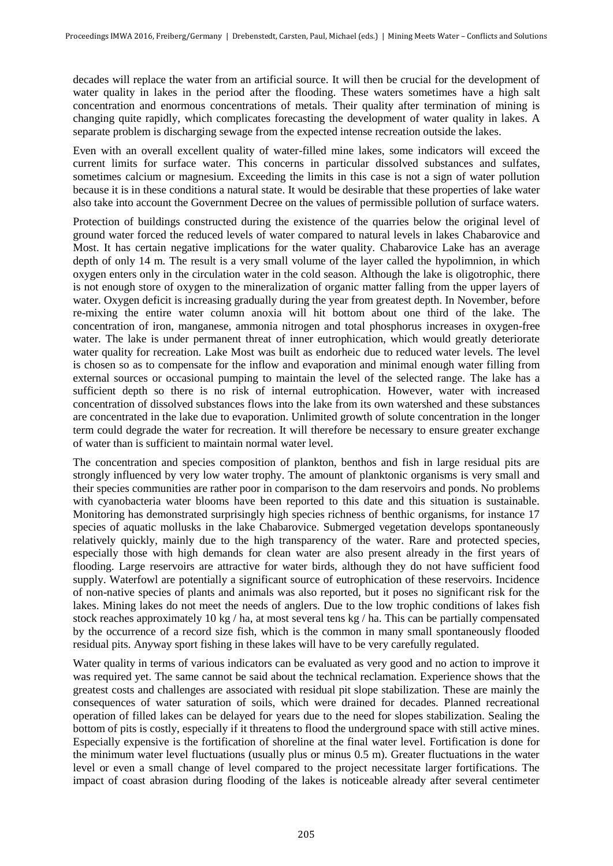decades will replace the water from an artificial source. It will then be crucial for the development of water quality in lakes in the period after the flooding. These waters sometimes have a high salt concentration and enormous concentrations of metals. Their quality after termination of mining is changing quite rapidly, which complicates forecasting the development of water quality in lakes. A separate problem is discharging sewage from the expected intense recreation outside the lakes.

Even with an overall excellent quality of water-filled mine lakes, some indicators will exceed the current limits for surface water. This concerns in particular dissolved substances and sulfates, sometimes calcium or magnesium. Exceeding the limits in this case is not a sign of water pollution because it is in these conditions a natural state. It would be desirable that these properties of lake water also take into account the Government Decree on the values of permissible pollution of surface waters.

Protection of buildings constructed during the existence of the quarries below the original level of ground water forced the reduced levels of water compared to natural levels in lakes Chabarovice and Most. It has certain negative implications for the water quality. Chabarovice Lake has an average depth of only 14 m. The result is a very small volume of the layer called the hypolimnion, in which oxygen enters only in the circulation water in the cold season. Although the lake is oligotrophic, there is not enough store of oxygen to the mineralization of organic matter falling from the upper layers of water. Oxygen deficit is increasing gradually during the year from greatest depth. In November, before re-mixing the entire water column anoxia will hit bottom about one third of the lake. The concentration of iron, manganese, ammonia nitrogen and total phosphorus increases in oxygen-free water. The lake is under permanent threat of inner eutrophication, which would greatly deteriorate water quality for recreation. Lake Most was built as endorheic due to reduced water levels. The level is chosen so as to compensate for the inflow and evaporation and minimal enough water filling from external sources or occasional pumping to maintain the level of the selected range. The lake has a sufficient depth so there is no risk of internal eutrophication. However, water with increased concentration of dissolved substances flows into the lake from its own watershed and these substances are concentrated in the lake due to evaporation. Unlimited growth of solute concentration in the longer term could degrade the water for recreation. It will therefore be necessary to ensure greater exchange of water than is sufficient to maintain normal water level.

The concentration and species composition of plankton, benthos and fish in large residual pits are strongly influenced by very low water trophy. The amount of planktonic organisms is very small and their species communities are rather poor in comparison to the dam reservoirs and ponds. No problems with cyanobacteria water blooms have been reported to this date and this situation is sustainable. Monitoring has demonstrated surprisingly high species richness of benthic organisms, for instance 17 species of aquatic mollusks in the lake Chabarovice. Submerged vegetation develops spontaneously relatively quickly, mainly due to the high transparency of the water. Rare and protected species, especially those with high demands for clean water are also present already in the first years of flooding. Large reservoirs are attractive for water birds, although they do not have sufficient food supply. Waterfowl are potentially a significant source of eutrophication of these reservoirs. Incidence of non-native species of plants and animals was also reported, but it poses no significant risk for the lakes. Mining lakes do not meet the needs of anglers. Due to the low trophic conditions of lakes fish stock reaches approximately 10 kg / ha, at most several tens kg / ha. This can be partially compensated by the occurrence of a record size fish, which is the common in many small spontaneously flooded residual pits. Anyway sport fishing in these lakes will have to be very carefully regulated.

Water quality in terms of various indicators can be evaluated as very good and no action to improve it was required yet. The same cannot be said about the technical reclamation. Experience shows that the greatest costs and challenges are associated with residual pit slope stabilization. These are mainly the consequences of water saturation of soils, which were drained for decades. Planned recreational operation of filled lakes can be delayed for years due to the need for slopes stabilization. Sealing the bottom of pits is costly, especially if it threatens to flood the underground space with still active mines. Especially expensive is the fortification of shoreline at the final water level. Fortification is done for the minimum water level fluctuations (usually plus or minus 0.5 m). Greater fluctuations in the water level or even a small change of level compared to the project necessitate larger fortifications. The impact of coast abrasion during flooding of the lakes is noticeable already after several centimeter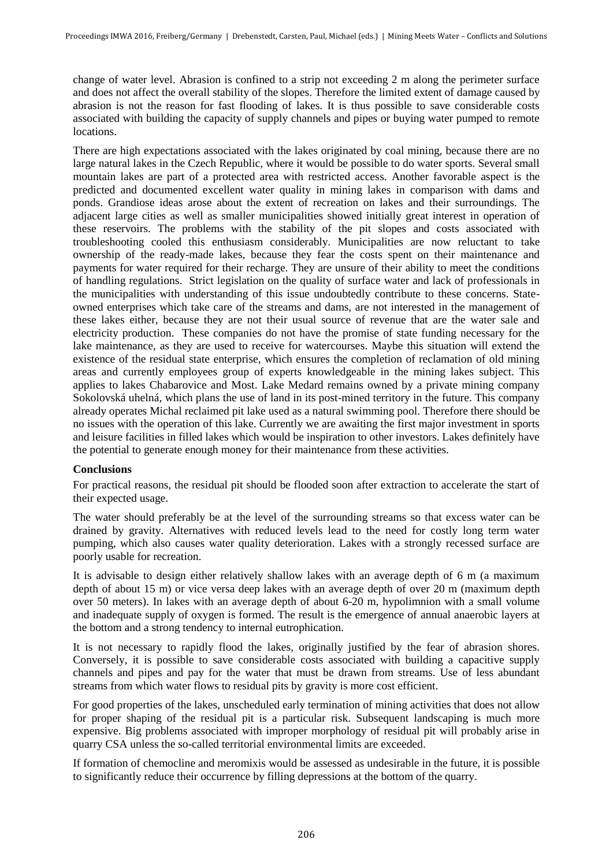change of water level. Abrasion is confined to a strip not exceeding 2 m along the perimeter surface and does not affect the overall stability of the slopes. Therefore the limited extent of damage caused by abrasion is not the reason for fast flooding of lakes. It is thus possible to save considerable costs associated with building the capacity of supply channels and pipes or buying water pumped to remote locations.

There are high expectations associated with the lakes originated by coal mining, because there are no large natural lakes in the Czech Republic, where it would be possible to do water sports. Several small mountain lakes are part of a protected area with restricted access. Another favorable aspect is the predicted and documented excellent water quality in mining lakes in comparison with dams and ponds. Grandiose ideas arose about the extent of recreation on lakes and their surroundings. The adjacent large cities as well as smaller municipalities showed initially great interest in operation of these reservoirs. The problems with the stability of the pit slopes and costs associated with troubleshooting cooled this enthusiasm considerably. Municipalities are now reluctant to take ownership of the ready-made lakes, because they fear the costs spent on their maintenance and payments for water required for their recharge. They are unsure of their ability to meet the conditions of handling regulations. Strict legislation on the quality of surface water and lack of professionals in the municipalities with understanding of this issue undoubtedly contribute to these concerns. Stateowned enterprises which take care of the streams and dams, are not interested in the management of these lakes either, because they are not their usual source of revenue that are the water sale and electricity production. These companies do not have the promise of state funding necessary for the lake maintenance, as they are used to receive for watercourses. Maybe this situation will extend the existence of the residual state enterprise, which ensures the completion of reclamation of old mining areas and currently employees group of experts knowledgeable in the mining lakes subject. This applies to lakes Chabarovice and Most. Lake Medard remains owned by a private mining company Sokolovská uhelná, which plans the use of land in its post-mined territory in the future. This company already operates Michal reclaimed pit lake used as a natural swimming pool. Therefore there should be no issues with the operation of this lake. Currently we are awaiting the first major investment in sports and leisure facilities in filled lakes which would be inspiration to other investors. Lakes definitely have the potential to generate enough money for their maintenance from these activities.

## **Conclusions**

For practical reasons, the residual pit should be flooded soon after extraction to accelerate the start of their expected usage.

The water should preferably be at the level of the surrounding streams so that excess water can be drained by gravity. Alternatives with reduced levels lead to the need for costly long term water pumping, which also causes water quality deterioration. Lakes with a strongly recessed surface are poorly usable for recreation.

It is advisable to design either relatively shallow lakes with an average depth of 6 m (a maximum depth of about 15 m) or vice versa deep lakes with an average depth of over 20 m (maximum depth over 50 meters). In lakes with an average depth of about 6-20 m, hypolimnion with a small volume and inadequate supply of oxygen is formed. The result is the emergence of annual anaerobic layers at the bottom and a strong tendency to internal eutrophication.

It is not necessary to rapidly flood the lakes, originally justified by the fear of abrasion shores. Conversely, it is possible to save considerable costs associated with building a capacitive supply channels and pipes and pay for the water that must be drawn from streams. Use of less abundant streams from which water flows to residual pits by gravity is more cost efficient.

For good properties of the lakes, unscheduled early termination of mining activities that does not allow for proper shaping of the residual pit is a particular risk. Subsequent landscaping is much more expensive. Big problems associated with improper morphology of residual pit will probably arise in quarry CSA unless the so-called territorial environmental limits are exceeded.

If formation of chemocline and meromixis would be assessed as undesirable in the future, it is possible to significantly reduce their occurrence by filling depressions at the bottom of the quarry.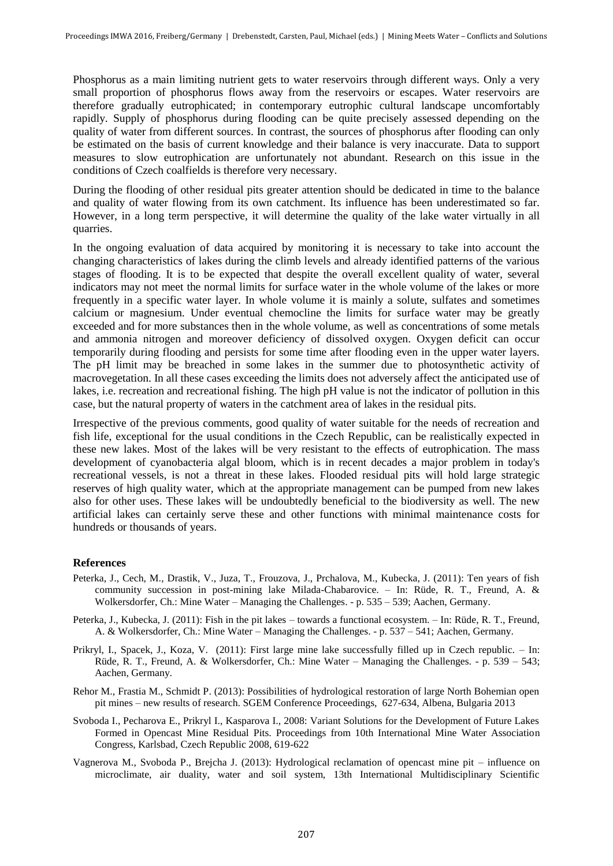Phosphorus as a main limiting nutrient gets to water reservoirs through different ways. Only a very small proportion of phosphorus flows away from the reservoirs or escapes. Water reservoirs are therefore gradually eutrophicated; in contemporary eutrophic cultural landscape uncomfortably rapidly. Supply of phosphorus during flooding can be quite precisely assessed depending on the quality of water from different sources. In contrast, the sources of phosphorus after flooding can only be estimated on the basis of current knowledge and their balance is very inaccurate. Data to support measures to slow eutrophication are unfortunately not abundant. Research on this issue in the conditions of Czech coalfields is therefore very necessary.

During the flooding of other residual pits greater attention should be dedicated in time to the balance and quality of water flowing from its own catchment. Its influence has been underestimated so far. However, in a long term perspective, it will determine the quality of the lake water virtually in all quarries.

In the ongoing evaluation of data acquired by monitoring it is necessary to take into account the changing characteristics of lakes during the climb levels and already identified patterns of the various stages of flooding. It is to be expected that despite the overall excellent quality of water, several indicators may not meet the normal limits for surface water in the whole volume of the lakes or more frequently in a specific water layer. In whole volume it is mainly a solute, sulfates and sometimes calcium or magnesium. Under eventual chemocline the limits for surface water may be greatly exceeded and for more substances then in the whole volume, as well as concentrations of some metals and ammonia nitrogen and moreover deficiency of dissolved oxygen. Oxygen deficit can occur temporarily during flooding and persists for some time after flooding even in the upper water layers. The pH limit may be breached in some lakes in the summer due to photosynthetic activity of macrovegetation. In all these cases exceeding the limits does not adversely affect the anticipated use of lakes, i.e. recreation and recreational fishing. The high pH value is not the indicator of pollution in this case, but the natural property of waters in the catchment area of lakes in the residual pits.

Irrespective of the previous comments, good quality of water suitable for the needs of recreation and fish life, exceptional for the usual conditions in the Czech Republic, can be realistically expected in these new lakes. Most of the lakes will be very resistant to the effects of eutrophication. The mass development of cyanobacteria algal bloom, which is in recent decades a major problem in today's recreational vessels, is not a threat in these lakes. Flooded residual pits will hold large strategic reserves of high quality water, which at the appropriate management can be pumped from new lakes also for other uses. These lakes will be undoubtedly beneficial to the biodiversity as well. The new artificial lakes can certainly serve these and other functions with minimal maintenance costs for hundreds or thousands of years.

#### **References**

- Peterka, J., Cech, M., Drastik, V., Juza, T., Frouzova, J., Prchalova, M., Kubecka, J. (2011): Ten years of fish community succession in post-mining lake Milada-Chabarovice. – In: Rüde, R. T., Freund, A. & Wolkersdorfer, Ch.: Mine Water – Managing the Challenges. - p. 535 – 539; Aachen, Germany.
- Peterka, J., Kubecka, J. (2011): Fish in the pit lakes towards a functional ecosystem. In: Rüde, R. T., Freund, A. & Wolkersdorfer, Ch.: Mine Water – Managing the Challenges. - p. 537 – 541; Aachen, Germany.
- Prikryl, I., Spacek, J., Koza, V. (2011): First large mine lake successfully filled up in Czech republic. In: Rüde, R. T., Freund, A. & Wolkersdorfer, Ch.: Mine Water – Managing the Challenges. - p. 539 – 543; Aachen, Germany.
- Rehor M., Frastia M., Schmidt P. (2013): Possibilities of hydrological restoration of large North Bohemian open pit mines – new results of research. SGEM Conference Proceedings, 627-634, Albena, Bulgaria 2013
- Svoboda I., Pecharova E., Prikryl I., Kasparova I., 2008: Variant Solutions for the Development of Future Lakes Formed in Opencast Mine Residual Pits. Proceedings from 10th International Mine Water Association Congress, Karlsbad, Czech Republic 2008, 619-622
- Vagnerova M., Svoboda P., Brejcha J. (2013): Hydrological reclamation of opencast mine pit influence on microclimate, air duality, water and soil system, 13th International Multidisciplinary Scientific